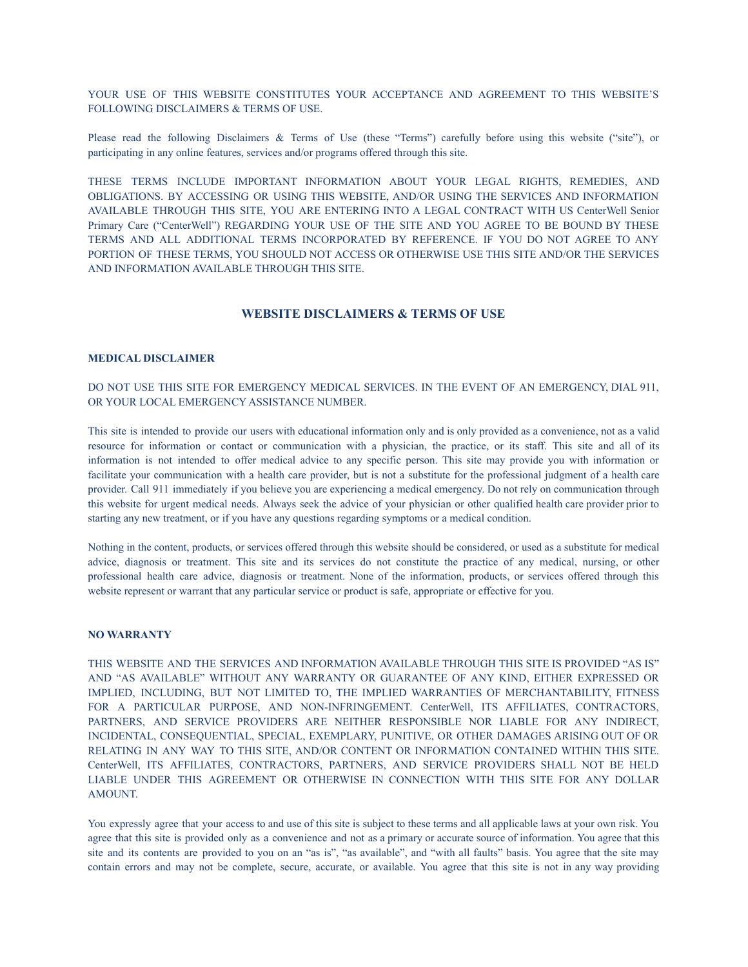YOUR USE OF THIS WEBSITE CONSTITUTES YOUR ACCEPTANCE AND AGREEMENT TO THIS WEBSITE'S FOLLOWING DISCLAIMERS & TERMS OF USE.

Please read the following Disclaimers & Terms of Use (these "Terms") carefully before using this website ("site"), or participating in any online features, services and/or programs offered through this site.

THESE TERMS INCLUDE IMPORTANT INFORMATION ABOUT YOUR LEGAL RIGHTS, REMEDIES, AND OBLIGATIONS. BY ACCESSING OR USING THIS WEBSITE, AND/OR USING THE SERVICES AND INFORMATION AVAILABLE THROUGH THIS SITE, YOU ARE ENTERING INTO A LEGAL CONTRACT WITH US CenterWell Senior Primary Care ("CenterWell") REGARDING YOUR USE OF THE SITE AND YOU AGREE TO BE BOUND BY THESE TERMS AND ALL ADDITIONAL TERMS INCORPORATED BY REFERENCE. IF YOU DO NOT AGREE TO ANY PORTION OF THESE TERMS, YOU SHOULD NOT ACCESS OR OTHERWISE USE THIS SITE AND/OR THE SERVICES AND INFORMATION AVAILABLE THROUGH THIS SITE.

## **WEBSITE DISCLAIMERS & TERMS OF USE**

### **MEDICAL DISCLAIMER**

DO NOT USE THIS SITE FOR EMERGENCY MEDICAL SERVICES. IN THE EVENT OF AN EMERGENCY, DIAL 911, OR YOUR LOCAL EMERGENCY ASSISTANCE NUMBER.

This site is intended to provide our users with educational information only and is only provided as a convenience, not as a valid resource for information or contact or communication with a physician, the practice, or its staff. This site and all of its information is not intended to offer medical advice to any specific person. This site may provide you with information or facilitate your communication with a health care provider, but is not a substitute for the professional judgment of a health care provider. Call 911 immediately if you believe you are experiencing a medical emergency. Do not rely on communication through this website for urgent medical needs. Always seek the advice of your physician or other qualified health care provider prior to starting any new treatment, or if you have any questions regarding symptoms or a medical condition.

Nothing in the content, products, or services offered through this website should be considered, or used as a substitute for medical advice, diagnosis or treatment. This site and its services do not constitute the practice of any medical, nursing, or other professional health care advice, diagnosis or treatment. None of the information, products, or services offered through this website represent or warrant that any particular service or product is safe, appropriate or effective for you.

### **NO WARRANTY**

THIS WEBSITE AND THE SERVICES AND INFORMATION AVAILABLE THROUGH THIS SITE IS PROVIDED "AS IS" AND "AS AVAILABLE" WITHOUT ANY WARRANTY OR GUARANTEE OF ANY KIND, EITHER EXPRESSED OR IMPLIED, INCLUDING, BUT NOT LIMITED TO, THE IMPLIED WARRANTIES OF MERCHANTABILITY, FITNESS FOR A PARTICULAR PURPOSE, AND NON-INFRINGEMENT. CenterWell, ITS AFFILIATES, CONTRACTORS, PARTNERS, AND SERVICE PROVIDERS ARE NEITHER RESPONSIBLE NOR LIABLE FOR ANY INDIRECT, INCIDENTAL, CONSEQUENTIAL, SPECIAL, EXEMPLARY, PUNITIVE, OR OTHER DAMAGES ARISING OUT OF OR RELATING IN ANY WAY TO THIS SITE, AND/OR CONTENT OR INFORMATION CONTAINED WITHIN THIS SITE. CenterWell, ITS AFFILIATES, CONTRACTORS, PARTNERS, AND SERVICE PROVIDERS SHALL NOT BE HELD LIABLE UNDER THIS AGREEMENT OR OTHERWISE IN CONNECTION WITH THIS SITE FOR ANY DOLLAR AMOUNT.

You expressly agree that your access to and use of this site is subject to these terms and all applicable laws at your own risk. You agree that this site is provided only as a convenience and not as a primary or accurate source of information. You agree that this site and its contents are provided to you on an "as is", "as available", and "with all faults" basis. You agree that the site may contain errors and may not be complete, secure, accurate, or available. You agree that this site is not in any way providing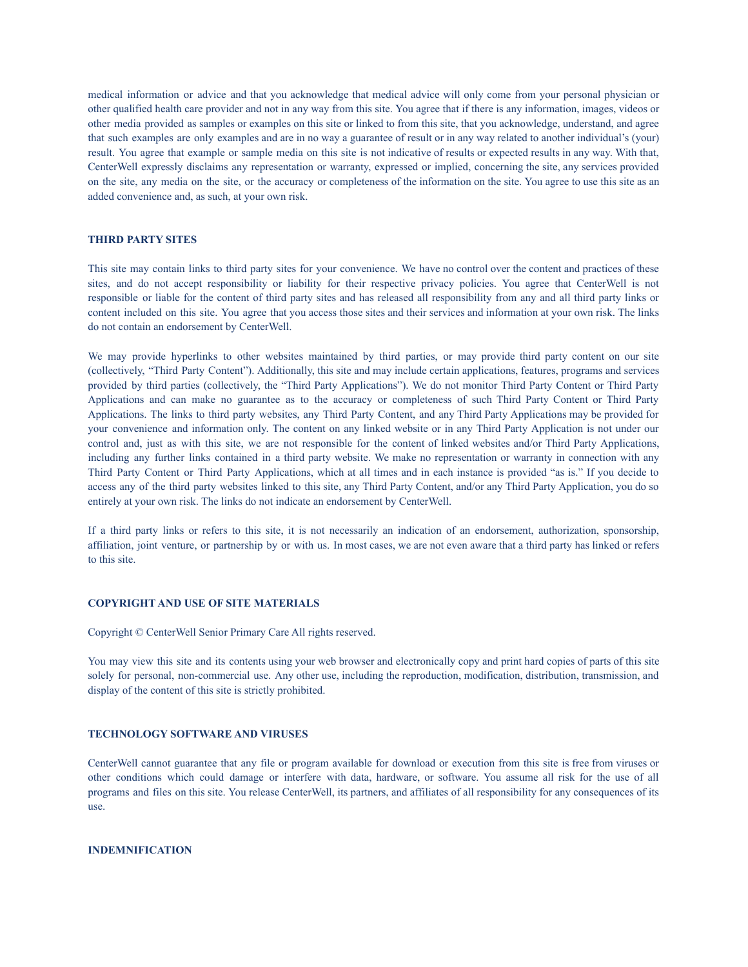medical information or advice and that you acknowledge that medical advice will only come from your personal physician or other qualified health care provider and not in any way from this site. You agree that if there is any information, images, videos or other media provided as samples or examples on this site or linked to from this site, that you acknowledge, understand, and agree that such examples are only examples and are in no way a guarantee of result or in any way related to another individual's (your) result. You agree that example or sample media on this site is not indicative of results or expected results in any way. With that, CenterWell expressly disclaims any representation or warranty, expressed or implied, concerning the site, any services provided on the site, any media on the site, or the accuracy or completeness of the information on the site. You agree to use this site as an added convenience and, as such, at your own risk.

### **THIRD PARTY SITES**

This site may contain links to third party sites for your convenience. We have no control over the content and practices of these sites, and do not accept responsibility or liability for their respective privacy policies. You agree that CenterWell is not responsible or liable for the content of third party sites and has released all responsibility from any and all third party links or content included on this site. You agree that you access those sites and their services and information at your own risk. The links do not contain an endorsement by CenterWell.

We may provide hyperlinks to other websites maintained by third parties, or may provide third party content on our site (collectively, "Third Party Content"). Additionally, this site and may include certain applications, features, programs and services provided by third parties (collectively, the "Third Party Applications"). We do not monitor Third Party Content or Third Party Applications and can make no guarantee as to the accuracy or completeness of such Third Party Content or Third Party Applications. The links to third party websites, any Third Party Content, and any Third Party Applications may be provided for your convenience and information only. The content on any linked website or in any Third Party Application is not under our control and, just as with this site, we are not responsible for the content of linked websites and/or Third Party Applications, including any further links contained in a third party website. We make no representation or warranty in connection with any Third Party Content or Third Party Applications, which at all times and in each instance is provided "as is." If you decide to access any of the third party websites linked to this site, any Third Party Content, and/or any Third Party Application, you do so entirely at your own risk. The links do not indicate an endorsement by CenterWell.

If a third party links or refers to this site, it is not necessarily an indication of an endorsement, authorization, sponsorship, affiliation, joint venture, or partnership by or with us. In most cases, we are not even aware that a third party has linked or refers to this site.

# **COPYRIGHT AND USE OF SITE MATERIALS**

Copyright © CenterWell Senior Primary Care All rights reserved.

You may view this site and its contents using your web browser and electronically copy and print hard copies of parts of this site solely for personal, non-commercial use. Any other use, including the reproduction, modification, distribution, transmission, and display of the content of this site is strictly prohibited.

### **TECHNOLOGY SOFTWARE AND VIRUSES**

CenterWell cannot guarantee that any file or program available for download or execution from this site is free from viruses or other conditions which could damage or interfere with data, hardware, or software. You assume all risk for the use of all programs and files on this site. You release CenterWell, its partners, and affiliates of all responsibility for any consequences of its use.

#### **INDEMNIFICATION**